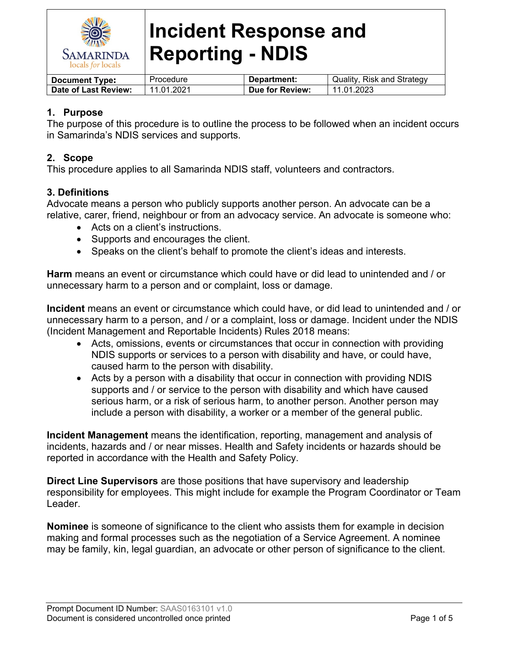

| <b>Document Type:</b> | Procedure  | Department:     | Quality, Risk and Strategy |
|-----------------------|------------|-----------------|----------------------------|
| Date of Last Review:  | 11.01.2021 | Due for Review: | 11.01.2023                 |

### **1. Purpose**

The purpose of this procedure is to outline the process to be followed when an incident occurs in Samarinda's NDIS services and supports.

### **2. Scope**

This procedure applies to all Samarinda NDIS staff, volunteers and contractors.

#### **3. Definitions**

Advocate means a person who publicly supports another person. An advocate can be a relative, carer, friend, neighbour or from an advocacy service. An advocate is someone who:

- Acts on a client's instructions.
- Supports and encourages the client.
- Speaks on the client's behalf to promote the client's ideas and interests.

**Harm** means an event or circumstance which could have or did lead to unintended and / or unnecessary harm to a person and or complaint, loss or damage.

**Incident** means an event or circumstance which could have, or did lead to unintended and / or unnecessary harm to a person, and / or a complaint, loss or damage. Incident under the NDIS (Incident Management and Reportable Incidents) Rules 2018 means:

- Acts, omissions, events or circumstances that occur in connection with providing NDIS supports or services to a person with disability and have, or could have, caused harm to the person with disability.
- Acts by a person with a disability that occur in connection with providing NDIS supports and / or service to the person with disability and which have caused serious harm, or a risk of serious harm, to another person. Another person may include a person with disability, a worker or a member of the general public.

**Incident Management** means the identification, reporting, management and analysis of incidents, hazards and / or near misses. Health and Safety incidents or hazards should be reported in accordance with the Health and Safety Policy.

**Direct Line Supervisors** are those positions that have supervisory and leadership responsibility for employees. This might include for example the Program Coordinator or Team Leader.

**Nominee** is someone of significance to the client who assists them for example in decision making and formal processes such as the negotiation of a Service Agreement. A nominee may be family, kin, legal guardian, an advocate or other person of significance to the client.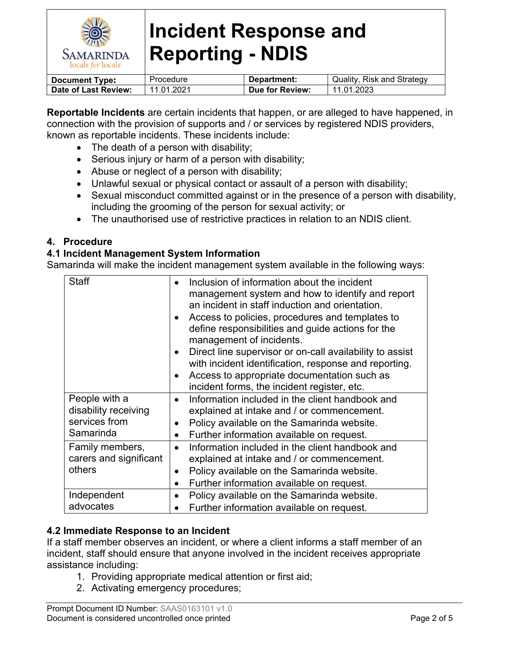

| <b>Document Type:</b> | Procedure  | Department:     | Quality, Risk and Strategy |
|-----------------------|------------|-----------------|----------------------------|
| Date of Last Review:  | 11.01.2021 | Due for Review: | 11.01.2023                 |

**Reportable Incidents** are certain incidents that happen, or are alleged to have happened, in connection with the provision of supports and / or services by registered NDIS providers, known as reportable incidents. These incidents include:

- The death of a person with disability;
- Serious injury or harm of a person with disability;
- Abuse or neglect of a person with disability;
- Unlawful sexual or physical contact or assault of a person with disability;
- Sexual misconduct committed against or in the presence of a person with disability, including the grooming of the person for sexual activity; or
- The unauthorised use of restrictive practices in relation to an NDIS client.

### **4. Procedure**

### **4.1 Incident Management System Information**

Samarinda will make the incident management system available in the following ways:

| <b>Staff</b>           | Inclusion of information about the incident              |
|------------------------|----------------------------------------------------------|
|                        |                                                          |
|                        | management system and how to identify and report         |
|                        | an incident in staff induction and orientation.          |
|                        | Access to policies, procedures and templates to          |
|                        | define responsibilities and guide actions for the        |
|                        | management of incidents.                                 |
|                        | Direct line supervisor or on-call availability to assist |
|                        | with incident identification, response and reporting.    |
|                        | Access to appropriate documentation such as              |
|                        | incident forms, the incident register, etc.              |
| People with a          | Information included in the client handbook and          |
| disability receiving   | explained at intake and / or commencement.               |
| services from          | Policy available on the Samarinda website.               |
| Samarinda              | Further information available on request.                |
| Family members,        | Information included in the client handbook and          |
| carers and significant | explained at intake and / or commencement.               |
| others<br>$\bullet$    | Policy available on the Samarinda website.               |
|                        | Further information available on request.                |
| Independent            | Policy available on the Samarinda website.               |
| advocates              | Further information available on request.                |

### **4.2 Immediate Response to an Incident**

If a staff member observes an incident, or where a client informs a staff member of an incident, staff should ensure that anyone involved in the incident receives appropriate assistance including:

- 1. Providing appropriate medical attention or first aid;
- 2. Activating emergency procedures;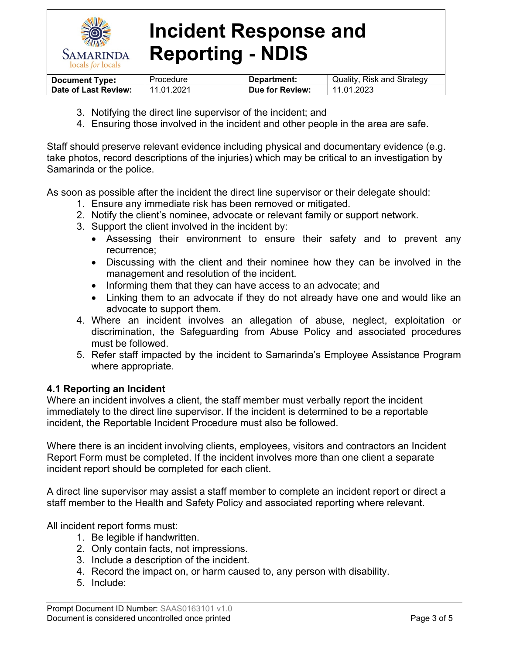

| <b>Document Type:</b> | Procedure  | Department:     | Quality, Risk and Strategy |
|-----------------------|------------|-----------------|----------------------------|
| Date of Last Review:  | 11.01.2021 | Due for Review: | 11.01.2023                 |

- 3. Notifying the direct line supervisor of the incident; and
- 4. Ensuring those involved in the incident and other people in the area are safe.

Staff should preserve relevant evidence including physical and documentary evidence (e.g. take photos, record descriptions of the injuries) which may be critical to an investigation by Samarinda or the police.

As soon as possible after the incident the direct line supervisor or their delegate should:

- 1. Ensure any immediate risk has been removed or mitigated.
- 2. Notify the client's nominee, advocate or relevant family or support network.
- 3. Support the client involved in the incident by:
	- Assessing their environment to ensure their safety and to prevent any recurrence;
	- Discussing with the client and their nominee how they can be involved in the management and resolution of the incident.
	- Informing them that they can have access to an advocate; and
	- Linking them to an advocate if they do not already have one and would like an advocate to support them.
- 4. Where an incident involves an allegation of abuse, neglect, exploitation or discrimination, the Safeguarding from Abuse Policy and associated procedures must be followed.
- 5. Refer staff impacted by the incident to Samarinda's Employee Assistance Program where appropriate.

### **4.1 Reporting an Incident**

Where an incident involves a client, the staff member must verbally report the incident immediately to the direct line supervisor. If the incident is determined to be a reportable incident, the Reportable Incident Procedure must also be followed.

Where there is an incident involving clients, employees, visitors and contractors an Incident Report Form must be completed. If the incident involves more than one client a separate incident report should be completed for each client.

A direct line supervisor may assist a staff member to complete an incident report or direct a staff member to the Health and Safety Policy and associated reporting where relevant.

All incident report forms must:

- 1. Be legible if handwritten.
- 2. Only contain facts, not impressions.
- 3. Include a description of the incident.
- 4. Record the impact on, or harm caused to, any person with disability.
- 5. Include: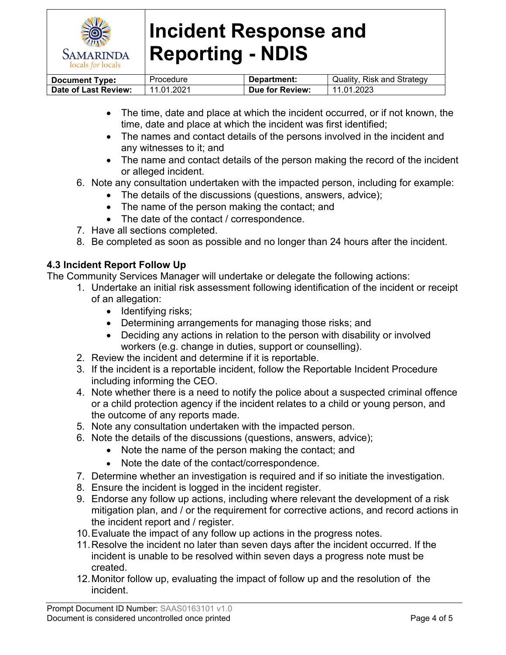

| <b>Document Type:</b> | Procedure  | Department:     | Quality, Risk and Strategy |
|-----------------------|------------|-----------------|----------------------------|
| Date of Last Review:  | 11.01.2021 | Due for Review: | 11.01.2023                 |

- The time, date and place at which the incident occurred, or if not known, the time, date and place at which the incident was first identified;
- The names and contact details of the persons involved in the incident and any witnesses to it; and
- The name and contact details of the person making the record of the incident or alleged incident.
- 6. Note any consultation undertaken with the impacted person, including for example:
	- The details of the discussions (questions, answers, advice);
	- The name of the person making the contact; and
	- The date of the contact / correspondence.
- 7. Have all sections completed.
- 8. Be completed as soon as possible and no longer than 24 hours after the incident.

### **4.3 Incident Report Follow Up**

The Community Services Manager will undertake or delegate the following actions:

- 1. Undertake an initial risk assessment following identification of the incident or receipt of an allegation:
	- $\bullet$  Identifying risks;
	- Determining arrangements for managing those risks; and
	- Deciding any actions in relation to the person with disability or involved workers (e.g. change in duties, support or counselling).
- 2. Review the incident and determine if it is reportable.
- 3. If the incident is a reportable incident, follow the Reportable Incident Procedure including informing the CEO.
- 4. Note whether there is a need to notify the police about a suspected criminal offence or a child protection agency if the incident relates to a child or young person, and the outcome of any reports made.
- 5. Note any consultation undertaken with the impacted person.
- 6. Note the details of the discussions (questions, answers, advice);
	- Note the name of the person making the contact; and
	- Note the date of the contact/correspondence.
- 7. Determine whether an investigation is required and if so initiate the investigation.
- 8. Ensure the incident is logged in the incident register.
- 9. Endorse any follow up actions, including where relevant the development of a risk mitigation plan, and / or the requirement for corrective actions, and record actions in the incident report and / register.
- 10.Evaluate the impact of any follow up actions in the progress notes.
- 11.Resolve the incident no later than seven days after the incident occurred. If the incident is unable to be resolved within seven days a progress note must be created.
- 12.Monitor follow up, evaluating the impact of follow up and the resolution of the incident.